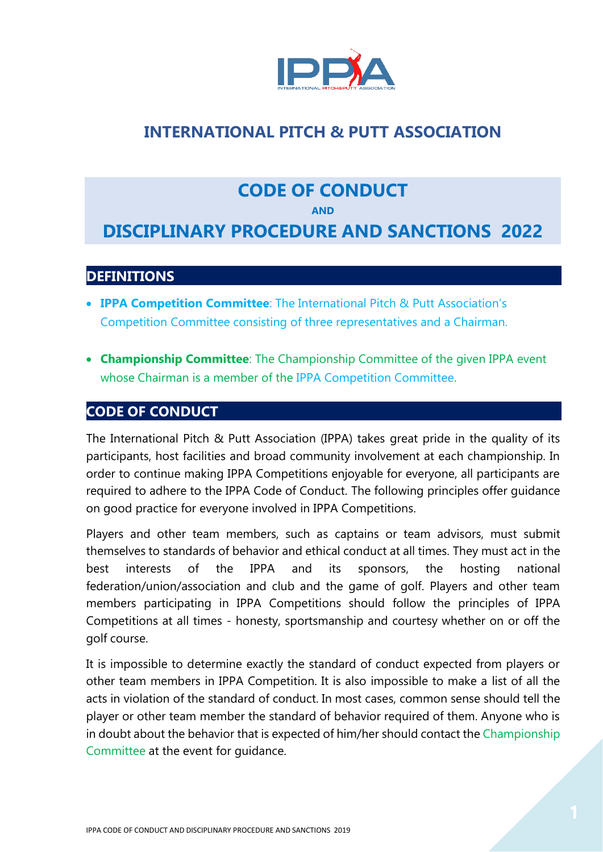

# **INTERNATIONAL PITCH & PUTT ASSOCIATION**

### **CODE OF CONDUCT**

**AND**

## **DISCIPLINARY PROCEDURE AND SANCTIONS 2022**

### **DEFINITIONS**

- **IPPA Competition Committee**: The International Pitch & Putt Association's Competition Committee consisting of three representatives and a Chairman.
- **Championship Committee**: The Championship Committee of the given IPPA event whose Chairman is a member of the IPPA Competition Committee.

### **CODE OF CONDUCT**

The International Pitch & Putt Association (IPPA) takes great pride in the quality of its participants, host facilities and broad community involvement at each championship. In order to continue making IPPA Competitions enjoyable for everyone, all participants are required to adhere to the IPPA Code of Conduct. The following principles offer guidance on good practice for everyone involved in IPPA Competitions.

Players and other team members, such as captains or team advisors, must submit themselves to standards of behavior and ethical conduct at all times. They must act in the best interests of the IPPA and its sponsors, the hosting national federation/union/association and club and the game of golf. Players and other team members participating in IPPA Competitions should follow the principles of IPPA Competitions at all times - honesty, sportsmanship and courtesy whether on or off the golf course.

It is impossible to determine exactly the standard of conduct expected from players or other team members in IPPA Competition. It is also impossible to make a list of all the acts in violation of the standard of conduct. In most cases, common sense should tell the player or other team member the standard of behavior required of them. Anyone who is in doubt about the behavior that is expected of him/her should contact the Championship Committee at the event for guidance.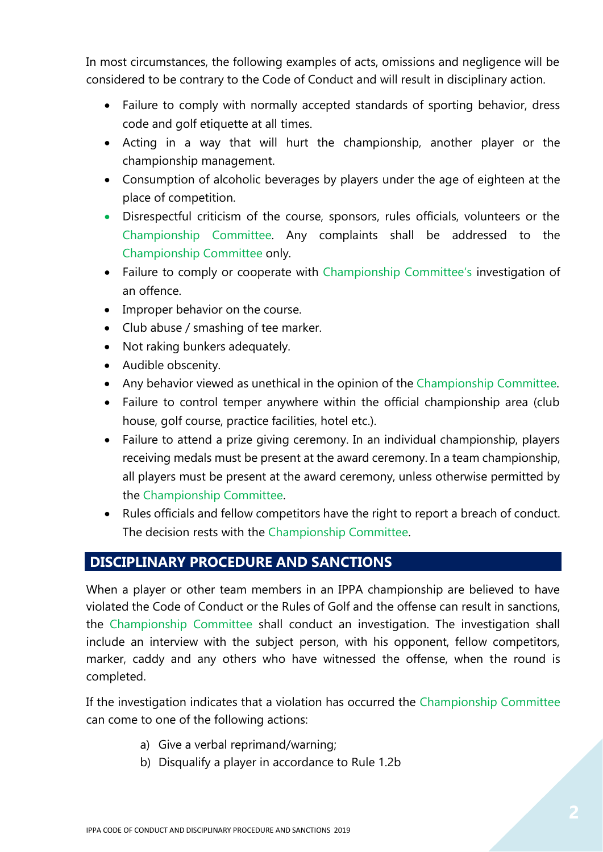In most circumstances, the following examples of acts, omissions and negligence will be considered to be contrary to the Code of Conduct and will result in disciplinary action.

- Failure to comply with normally accepted standards of sporting behavior, dress code and golf etiquette at all times.
- Acting in a way that will hurt the championship, another player or the championship management.
- Consumption of alcoholic beverages by players under the age of eighteen at the place of competition.
- Disrespectful criticism of the course, sponsors, rules officials, volunteers or the Championship Committee. Any complaints shall be addressed to the Championship Committee only.
- Failure to comply or cooperate with Championship Committee's investigation of an offence.
- Improper behavior on the course.
- Club abuse / smashing of tee marker.
- Not raking bunkers adequately.
- Audible obscenity.
- Any behavior viewed as unethical in the opinion of the Championship Committee.
- Failure to control temper anywhere within the official championship area (club house, golf course, practice facilities, hotel etc.).
- Failure to attend a prize giving ceremony. In an individual championship, players receiving medals must be present at the award ceremony. In a team championship, all players must be present at the award ceremony, unless otherwise permitted by the Championship Committee.
- Rules officials and fellow competitors have the right to report a breach of conduct. The decision rests with the Championship Committee.

### **DISCIPLINARY PROCEDURE AND SANCTIONS**

When a player or other team members in an IPPA championship are believed to have violated the Code of Conduct or the Rules of Golf and the offense can result in sanctions, the Championship Committee shall conduct an investigation. The investigation shall include an interview with the subject person, with his opponent, fellow competitors, marker, caddy and any others who have witnessed the offense, when the round is completed.

If the investigation indicates that a violation has occurred the Championship Committee can come to one of the following actions:

- a) Give a verbal reprimand/warning;
- b) Disqualify a player in accordance to Rule 1.2b